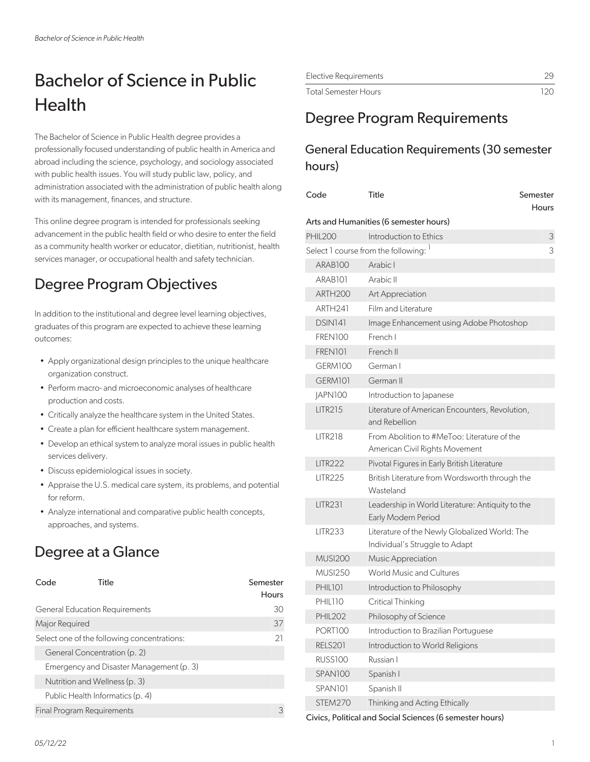# Bachelor of Science in Public **Health**

The Bachelor of Science in Public Health degree provides a professionally focused understanding of public health in America and abroad including the science, psychology, and sociology associated with public health issues. You will study public law, policy, and administration associated with the administration of public health along with its management, finances, and structure.

This online degree program is intended for professionals seeking advancement in the public health field or who desire to enter the field as a community health worker or educator, dietitian, nutritionist, health services manager, or occupational health and safety technician.

# Degree Program Objectives

In addition to the institutional and degree level learning objectives, graduates of this program are expected to achieve these learning outcomes:

- Apply organizational design principles to the unique healthcare organization construct.
- Perform macro- and microeconomic analyses of healthcare production and costs.
- Critically analyze the healthcare system in the United States.
- Create a plan for efficient healthcare system management.
- Develop an ethical system to analyze moral issues in public health services delivery.
- Discuss epidemiological issues in society.
- Appraise the U.S. medical care system, its problems, and potential for reform.
- Analyze international and comparative public health concepts, approaches, and systems.

# Degree at a Glance

| Code           | Title                                       | Semester<br>Hours |
|----------------|---------------------------------------------|-------------------|
|                | <b>General Education Requirements</b>       | 30                |
| Major Required |                                             | 37                |
|                | Select one of the following concentrations: | 21                |
|                | General Concentration (p. 2)                |                   |
|                | Emergency and Disaster Management (p. 3)    |                   |
|                | Nutrition and Wellness (p. 3)               |                   |
|                | Public Health Informatics (p. 4)            |                   |
|                | <b>Final Program Requirements</b>           | З                 |

| Elective Requirements |     |
|-----------------------|-----|
| Total Semester Hours  | 120 |

# Degree Program Requirements

## General Education Requirements (30 semester hours)

| Code                | Title                                                                           | Semester<br>Hours |
|---------------------|---------------------------------------------------------------------------------|-------------------|
|                     | Arts and Humanities (6 semester hours)                                          |                   |
| <b>PHIL200</b>      | Introduction to Ethics                                                          | 3                 |
|                     | Select 1 course from the following: <sup>1</sup>                                | 3                 |
| ARAB <sub>100</sub> | Arabic I                                                                        |                   |
| ARAB <sub>101</sub> | Arabic II                                                                       |                   |
| ARTH <sub>200</sub> | Art Appreciation                                                                |                   |
| ARTH <sub>241</sub> | Film and Literature                                                             |                   |
| DSIN141             | Image Enhancement using Adobe Photoshop                                         |                   |
| FREN100             | French I                                                                        |                   |
| FREN101             | French II                                                                       |                   |
| GERM100             | German I                                                                        |                   |
| GERM101             | German II                                                                       |                   |
| JAPN100             | Introduction to Japanese                                                        |                   |
| <b>LITR215</b>      | Literature of American Encounters, Revolution,<br>and Rebellion                 |                   |
| <b>LITR218</b>      | From Abolition to #MeToo: Literature of the<br>American Civil Rights Movement   |                   |
| <b>LITR222</b>      | Pivotal Figures in Early British Literature                                     |                   |
| <b>LITR225</b>      | British Literature from Wordsworth through the<br>Wasteland                     |                   |
| <b>LITR231</b>      | Leadership in World Literature: Antiquity to the<br>Early Modern Period         |                   |
| <b>LITR233</b>      | Literature of the Newly Globalized World: The<br>Individual's Struggle to Adapt |                   |
| <b>MUSI200</b>      | Music Appreciation                                                              |                   |
| <b>MUSI250</b>      | <b>World Music and Cultures</b>                                                 |                   |
| PHIL101             | Introduction to Philosophy                                                      |                   |
| PHIL110             | Critical Thinking                                                               |                   |
| <b>PHIL202</b>      | Philosophy of Science                                                           |                   |
| PORT100             | Introduction to Brazilian Portuguese                                            |                   |
| <b>RELS201</b>      | Introduction to World Religions                                                 |                   |
| <b>RUSS100</b>      | Russian I                                                                       |                   |
| SPAN100             | Spanish I                                                                       |                   |
| SPAN101             | Spanish II                                                                      |                   |
| STEM270             | Thinking and Acting Ethically                                                   |                   |

Civics, Political and Social Sciences (6 semester hours)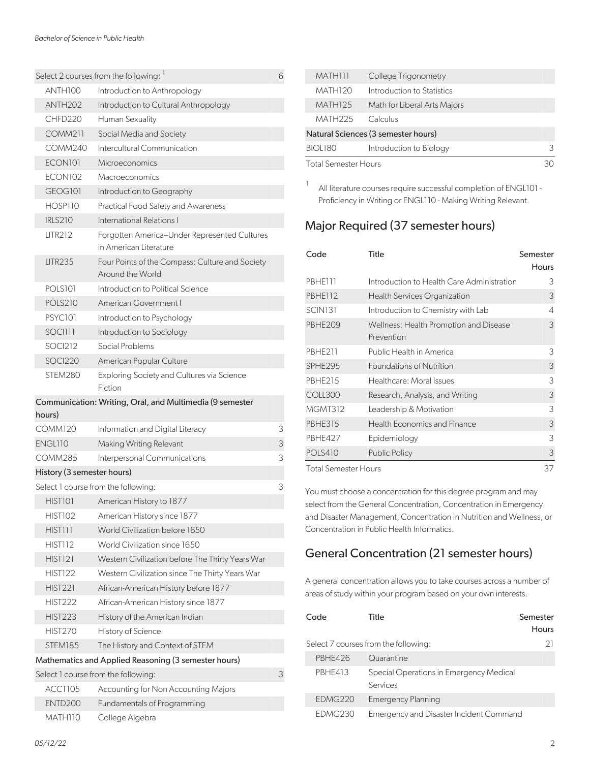|                            | Select 2 courses from the following: 1                                                      | 6      |
|----------------------------|---------------------------------------------------------------------------------------------|--------|
| ANTH100                    | Introduction to Anthropology                                                                |        |
| ANTH <sub>202</sub>        | Introduction to Cultural Anthropology                                                       |        |
| CHFD220                    | Human Sexuality                                                                             |        |
| <b>COMM211</b>             | Social Media and Society                                                                    |        |
| COMM240                    | Intercultural Communication                                                                 |        |
| ECON101                    | Microeconomics                                                                              |        |
| ECON102                    | Macroeconomics                                                                              |        |
| GEOGI01                    | Introduction to Geography                                                                   |        |
| HOSP110                    | <b>Practical Food Safety and Awareness</b>                                                  |        |
| <b>IRLS210</b>             | International Relations I                                                                   |        |
| <b>LITR212</b>             | Forgotten America--Under Represented Cultures<br>in American Literature                     |        |
|                            |                                                                                             |        |
| <b>LITR235</b>             | Four Points of the Compass: Culture and Society<br>Around the World                         |        |
| <b>POLS101</b>             | Introduction to Political Science                                                           |        |
| <b>POLS210</b>             | American Government I                                                                       |        |
| <b>PSYC101</b>             | Introduction to Psychology                                                                  |        |
| <b>SOCI111</b>             | Introduction to Sociology                                                                   |        |
| SOCI212                    | Social Problems                                                                             |        |
| SOCI220                    | American Popular Culture                                                                    |        |
| STEM280                    | Exploring Society and Cultures via Science<br>Fiction                                       |        |
|                            | Communication: Writing, Oral, and Multimedia (9 semester                                    |        |
| hours)                     |                                                                                             |        |
| COMM120<br>ENGL110         | Information and Digital Literacy                                                            | 3      |
| <b>COMM285</b>             | Making Writing Relevant                                                                     | 3<br>3 |
|                            | Interpersonal Communications                                                                |        |
| History (3 semester hours) |                                                                                             | 3      |
| HIST101                    | Select 1 course from the following:<br>American History to 1877                             |        |
| <b>HIST102</b>             | American History since 1877                                                                 |        |
| HIST111                    | World Civilization before 1650                                                              |        |
| <b>HIST112</b>             | World Civilization since 1650                                                               |        |
| <b>HIST121</b>             | Western Civilization before The Thirty Years War                                            |        |
| <b>HIST122</b>             | Western Civilization since The Thirty Years War                                             |        |
| <b>HIST221</b>             | African-American History before 1877                                                        |        |
| <b>HIST222</b>             |                                                                                             |        |
| <b>HIST223</b>             | African-American History since 1877                                                         |        |
|                            | History of the American Indian                                                              |        |
| <b>HIST270</b><br>STEM185  | History of Science                                                                          |        |
|                            | The History and Context of STEM                                                             |        |
|                            | Mathematics and Applied Reasoning (3 semester hours)<br>Select 1 course from the following: | 3      |
| ACCT105                    |                                                                                             |        |
| <b>ENTD200</b>             | Accounting for Non Accounting Majors<br><b>Fundamentals of Programming</b>                  |        |
|                            |                                                                                             |        |
| MATH110                    | College Algebra                                                                             |        |

| MATH111                     | College Trigonometry                |  |
|-----------------------------|-------------------------------------|--|
| MATH120                     | Introduction to Statistics          |  |
| <b>MATH125</b>              | Math for Liberal Arts Majors        |  |
| MATH225                     | Calculus                            |  |
|                             | Natural Sciences (3 semester hours) |  |
| <b>BIOL180</b>              | Introduction to Biology             |  |
| <b>Total Semester Hours</b> |                                     |  |

1 All literature courses require successful completion of ENGL101 - Proficiency in Writing or ENGL110 - Making Writing Relevant.

### Major Required (37 semester hours)

| Code                        | Title                                                | Semester<br>Hours |
|-----------------------------|------------------------------------------------------|-------------------|
| PBHE111                     | Introduction to Health Care Administration           | 3                 |
| PBHE112                     | Health Services Organization                         | 3                 |
| <b>SCIN131</b>              | Introduction to Chemistry with Lab                   | 4                 |
| <b>PBHE209</b>              | Wellness: Health Promotion and Disease<br>Prevention | 3                 |
| <b>PBHE211</b>              | Public Health in America                             | 3                 |
| SPHE295                     | Foundations of Nutrition                             | 3                 |
| <b>PBHE215</b>              | Healthcare: Moral Issues                             | 3                 |
| COLL300                     | Research, Analysis, and Writing                      | 3                 |
| <b>MGMT312</b>              | Leadership & Motivation                              | 3                 |
| <b>PBHE315</b>              | <b>Health Economics and Finance</b>                  | 3                 |
| PBHE427                     | Epidemiology                                         | 3                 |
| <b>POLS410</b>              | <b>Public Policy</b>                                 | 3                 |
| <b>Total Semester Hours</b> |                                                      | 37                |

You must choose a concentration for this degree program and may select from the General Concentration, Concentration in Emergency and Disaster Management, Concentration in Nutrition and Wellness, or Concentration in Public Health Informatics.

# General Concentration (21 semester hours)

A general concentration allows you to take courses across a number of areas of study within your program based on your own interests.

| Code           | Title                                               | Semester<br>Hours |
|----------------|-----------------------------------------------------|-------------------|
|                | Select 7 courses from the following:                | 21                |
| PRHF426        | Quarantine                                          |                   |
| <b>PBHE413</b> | Special Operations in Emergency Medical<br>Services |                   |
| EDMG220        | <b>Emergency Planning</b>                           |                   |
| FDMG230        | Emergency and Disaster Incident Command             |                   |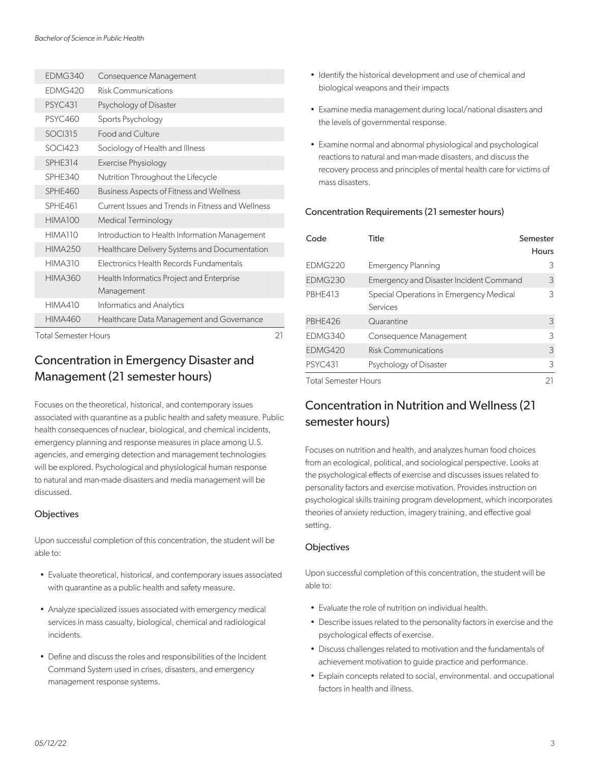| <b>FDMG340</b>              | Consequence Management                            |    |
|-----------------------------|---------------------------------------------------|----|
| <b>FDMG420</b>              | Risk Communications                               |    |
| <b>PSYC431</b>              | Psychology of Disaster                            |    |
| <b>PSYC460</b>              | Sports Psychology                                 |    |
| <b>SOCI315</b>              | <b>Food and Culture</b>                           |    |
| <b>SOCI423</b>              | Sociology of Health and Illness                   |    |
| <b>SPHE314</b>              | Exercise Physiology                               |    |
| SPHE340                     | Nutrition Throughout the Lifecycle                |    |
| SPHF460                     | <b>Business Aspects of Fitness and Wellness</b>   |    |
| <b>SPHF461</b>              | Current Issues and Trends in Fitness and Wellness |    |
| HIMA100                     | <b>Medical Terminology</b>                        |    |
| HIMA110                     | Introduction to Health Information Management     |    |
| <b>HIMA250</b>              | Healthcare Delivery Systems and Documentation     |    |
| <b>HIMA310</b>              | Electronics Health Records Fundamentals           |    |
| <b>HIMA360</b>              | Health Informatics Project and Enterprise         |    |
|                             | Management                                        |    |
| <b>HIMA410</b>              | Informatics and Analytics                         |    |
| <b>HIMA460</b>              | Healthcare Data Management and Governance         |    |
| <b>Total Semester Hours</b> |                                                   | 21 |

## Concentration in Emergency Disaster and Management (21 semester hours)

Focuses on the theoretical, historical, and contemporary issues associated with quarantine as a public health and safety measure. Public health consequences of nuclear, biological, and chemical incidents, emergency planning and response measures in place among U.S. agencies, and emerging detection and management technologies will be explored. Psychological and physiological human response to natural and man-made disasters and media management will be discussed.

#### **Objectives**

Upon successful completion of this concentration, the student will be able to:

- Evaluate theoretical, historical, and contemporary issues associated with quarantine as a public health and safety measure.
- Analyze specialized issues associated with emergency medical services in mass casualty, biological, chemical and radiological incidents.
- Define and discuss the roles and responsibilities of the Incident Command System used in crises, disasters, and emergency management response systems.
- Identify the historical development and use of chemical and biological weapons and their impacts
- Examine media management during local/national disasters and the levels of governmental response.
- Examine normal and abnormal physiological and psychological reactions to natural and man-made disasters, and discuss the recovery process and principles of mental health care for victims of mass disasters.

#### Concentration Requirements (21 semester hours)

| Code                        | Title                                               | Semester<br><b>Hours</b> |
|-----------------------------|-----------------------------------------------------|--------------------------|
| EDMG220                     | <b>Emergency Planning</b>                           | 3                        |
| EDMG230                     | <b>Emergency and Disaster Incident Command</b>      | 3                        |
| <b>PBHE413</b>              | Special Operations in Emergency Medical<br>Services | 3                        |
| PBHE426                     | Quarantine                                          | 3                        |
| <b>FDMG340</b>              | Consequence Management                              | 3                        |
| FDMG420                     | <b>Risk Communications</b>                          | 3                        |
| <b>PSYC431</b>              | Psychology of Disaster                              | 3                        |
| <b>Total Semester Hours</b> |                                                     | 21                       |

### Concentration in Nutrition and Wellness (21 semester hours)

Focuses on nutrition and health, and analyzes human food choices from an ecological, political, and sociological perspective. Looks at the psychological effects of exercise and discusses issues related to personality factors and exercise motivation. Provides instruction on psychological skills training program development, which incorporates theories of anxiety reduction, imagery training, and effective goal setting.

#### **Objectives**

Upon successful completion of this concentration, the student will be able to:

- Evaluate the role of nutrition on individual health.
- Describe issues related to the personality factors in exercise and the psychological effects of exercise.
- Discuss challenges related to motivation and the fundamentals of achievement motivation to guide practice and performance.
- Explain concepts related to social, environmental. and occupational factors in health and illness.